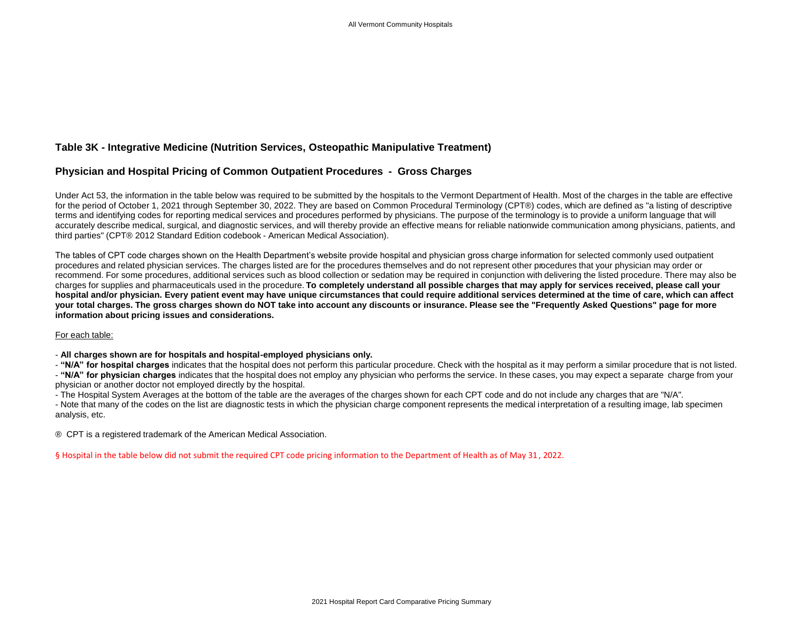## **Table 3K - Integrative Medicine (Nutrition Services, Osteopathic Manipulative Treatment)**

## **Physician and Hospital Pricing of Common Outpatient Procedures - Gross Charges**

Under Act 53, the information in the table below was required to be submitted by the hospitals to the Vermont Department of Health. Most of the charges in the table are effective for the period of October 1, 2021 through September 30, 2022. They are based on Common Procedural Terminology (CPT®) codes, which are defined as "a listing of descriptive terms and identifying codes for reporting medical services and procedures performed by physicians. The purpose of the terminology is to provide a uniform language that will accurately describe medical, surgical, and diagnostic services, and will thereby provide an effective means for reliable nationwide communication among physicians, patients, and third parties" (CPT® 2012 Standard Edition codebook - American Medical Association).

The tables of CPT code charges shown on the Health Department's website provide hospital and physician gross charge information for selected commonly used outpatient procedures and related physician services. The charges listed are for the procedures themselves and do not represent other procedures that your physician may order or recommend. For some procedures, additional services such as blood collection or sedation may be required in conjunction with delivering the listed procedure. There may also be charges for supplies and pharmaceuticals used in the procedure. **To completely understand all possible charges that may apply for services received, please call your hospital and/or physician. Every patient event may have unique circumstances that could require additional services determined at the time of care, which can affect your total charges. The gross charges shown do NOT take into account any discounts or insurance. Please see the "Frequently Asked Questions" page for more information about pricing issues and considerations.**

## For each table:

- **All charges shown are for hospitals and hospital-employed physicians only.**

- **"N/A" for hospital charges** indicates that the hospital does not perform this particular procedure. Check with the hospital as it may perform a similar procedure that is not listed.

- **"N/A" for physician charges** indicates that the hospital does not employ any physician who performs the service. In these cases, you may expect a separate charge from your physician or another doctor not employed directly by the hospital.

- The Hospital System Averages at the bottom of the table are the averages of the charges shown for each CPT code and do not include any charges that are "N/A".

- Note that many of the codes on the list are diagnostic tests in which the physician charge component represents the medical interpretation of a resulting image, lab specimen analysis, etc.

® CPT is a registered trademark of the American Medical Association.

§ Hospital in the table below did not submit the required CPT code pricing information to the Department of Health as of May 31 , 2022.